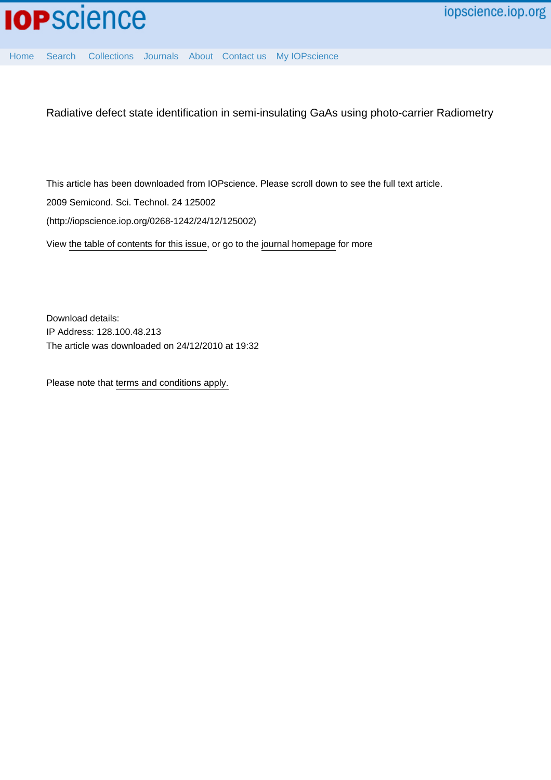

[Home](http://iopscience.iop.org/) [Search](http://iopscience.iop.org/search) [Collections](http://iopscience.iop.org/collections) [Journals](http://iopscience.iop.org/journals) [About](http://iopscience.iop.org/page/aboutioppublishing) [Contact us](http://iopscience.iop.org/contact) [My IOPscience](http://iopscience.iop.org/myiopscience)

Radiative defect state identification in semi-insulating GaAs using photo-carrier Radiometry

This article has been downloaded from IOPscience. Please scroll down to see the full text article. 2009 Semicond. Sci. Technol. 24 125002 (http://iopscience.iop.org/0268-1242/24/12/125002)

View [the table of contents for this issue](http://iopscience.iop.org/0268-1242/24/12), or go to the [journal homepage](http://iopscience.iop.org/0268-1242) for more

Download details: IP Address: 128.100.48.213 The article was downloaded on 24/12/2010 at 19:32

Please note that [terms and conditions apply.](http://iopscience.iop.org/page/terms)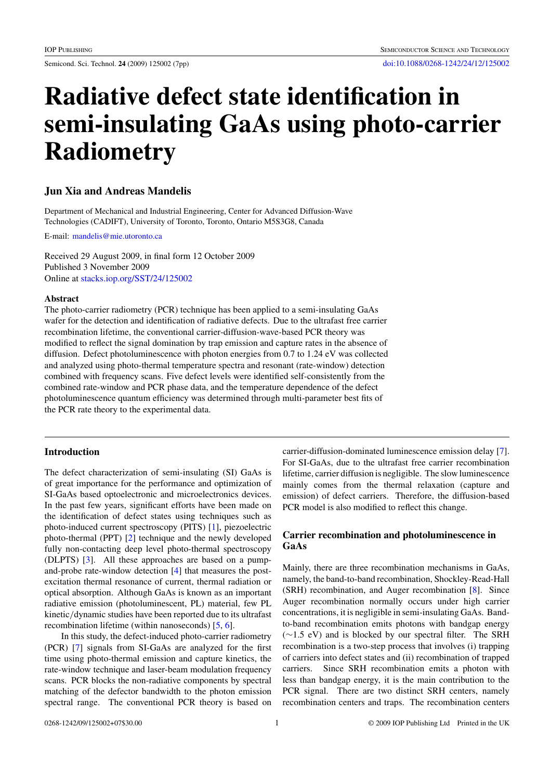# **Radiative defect state identification in semi-insulating GaAs using photo-carrier Radiometry**

# **Jun Xia and Andreas Mandelis**

Department of Mechanical and Industrial Engineering, Center for Advanced Diffusion-Wave Technologies (CADIFT), University of Toronto, Toronto, Ontario M5S3G8, Canada

E-mail: [mandelis@mie.utoronto.ca](mailto:mandelis@mie.utoronto.ca)

Received 29 August 2009, in final form 12 October 2009 Published 3 November 2009 Online at [stacks.iop.org/SST/24/125002](http://stacks.iop.org/SST/24/125002)

### **Abstract**

The photo-carrier radiometry (PCR) technique has been applied to a semi-insulating GaAs wafer for the detection and identification of radiative defects. Due to the ultrafast free carrier recombination lifetime, the conventional carrier-diffusion-wave-based PCR theory was modified to reflect the signal domination by trap emission and capture rates in the absence of diffusion. Defect photoluminescence with photon energies from 0.7 to 1.24 eV was collected and analyzed using photo-thermal temperature spectra and resonant (rate-window) detection combined with frequency scans. Five defect levels were identified self-consistently from the combined rate-window and PCR phase data, and the temperature dependence of the defect photoluminescence quantum efficiency was determined through multi-parameter best fits of the PCR rate theory to the experimental data.

## **Introduction**

The defect characterization of semi-insulating (SI) GaAs is of great importance for the performance and optimization of SI-GaAs based optoelectronic and microelectronics devices. In the past few years, significant efforts have been made on the identification of defect states using techniques such as photo-induced current spectroscopy (PITS) [\[1](#page-7-0)], piezoelectric photo-thermal (PPT) [\[2](#page-7-0)] technique and the newly developed fully non-contacting deep level photo-thermal spectroscopy (DLPTS) [\[3\]](#page-7-0). All these approaches are based on a pumpand-probe rate-window detection [\[4](#page-7-0)] that measures the postexcitation thermal resonance of current, thermal radiation or optical absorption. Although GaAs is known as an important radiative emission (photoluminescent, PL) material, few PL kinetic*/*dynamic studies have been reported due to its ultrafast recombination lifetime (within nanoseconds) [\[5,](#page-7-0) [6\]](#page-7-0).

In this study, the defect-induced photo-carrier radiometry (PCR) [\[7](#page-7-0)] signals from SI-GaAs are analyzed for the first time using photo-thermal emission and capture kinetics, the rate-window technique and laser-beam modulation frequency scans. PCR blocks the non-radiative components by spectral matching of the defector bandwidth to the photon emission spectral range. The conventional PCR theory is based on carrier-diffusion-dominated luminescence emission delay [\[7](#page-7-0)]. For SI-GaAs, due to the ultrafast free carrier recombination lifetime, carrier diffusion is negligible. The slow luminescence mainly comes from the thermal relaxation (capture and emission) of defect carriers. Therefore, the diffusion-based PCR model is also modified to reflect this change.

## **Carrier recombination and photoluminescence in GaAs**

Mainly, there are three recombination mechanisms in GaAs, namely, the band-to-band recombination, Shockley-Read-Hall (SRH) recombination, and Auger recombination [\[8](#page-7-0)]. Since Auger recombination normally occurs under high carrier concentrations, it is negligible in semi-insulating GaAs. Bandto-band recombination emits photons with bandgap energy (∼1.5 eV) and is blocked by our spectral filter. The SRH recombination is a two-step process that involves (i) trapping of carriers into defect states and (ii) recombination of trapped carriers. Since SRH recombination emits a photon with less than bandgap energy, it is the main contribution to the PCR signal. There are two distinct SRH centers, namely recombination centers and traps. The recombination centers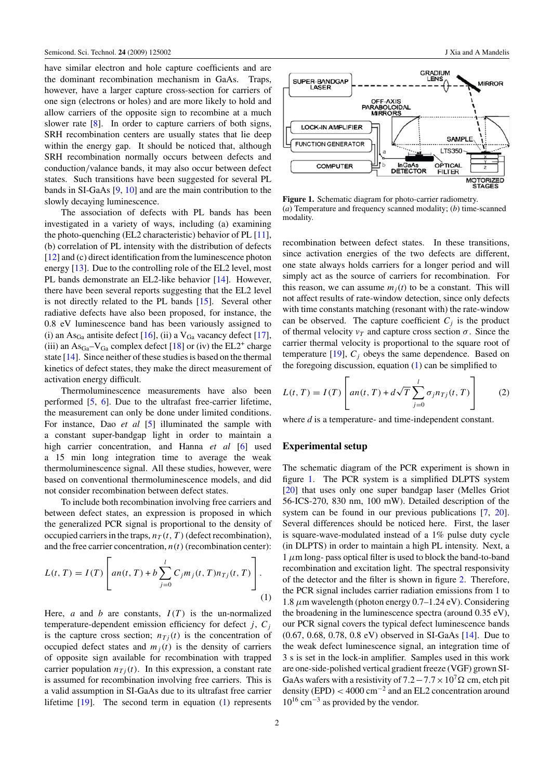<span id="page-2-0"></span>have similar electron and hole capture coefficients and are the dominant recombination mechanism in GaAs. Traps, however, have a larger capture cross-section for carriers of one sign (electrons or holes) and are more likely to hold and allow carriers of the opposite sign to recombine at a much slower rate [\[8\]](#page-7-0). In order to capture carriers of both signs, SRH recombination centers are usually states that lie deep within the energy gap. It should be noticed that, although SRH recombination normally occurs between defects and conduction*/*valance bands, it may also occur between defect states. Such transitions have been suggested for several PL bands in SI-GaAs [\[9,](#page-7-0) [10\]](#page-7-0) and are the main contribution to the slowly decaying luminescence.

The association of defects with PL bands has been investigated in a variety of ways, including (a) examining the photo-quenching (EL2 characteristic) behavior of PL [\[11](#page-7-0)], (b) correlation of PL intensity with the distribution of defects [\[12](#page-7-0)] and (c) direct identification from the luminescence photon energy [\[13](#page-7-0)]. Due to the controlling role of the EL2 level, most PL bands demonstrate an EL2-like behavior [\[14\]](#page-7-0). However, there have been several reports suggesting that the EL2 level is not directly related to the PL bands [\[15](#page-7-0)]. Several other radiative defects have also been proposed, for instance, the 0.8 eV luminescence band has been variously assigned to (i) an  $\text{As}_{\text{Ga}}$  antisite defect [\[16\]](#page-7-0), (ii) a  $\text{V}_{\text{Ga}}$  vacancy defect [\[17](#page-7-0)], (iii) an  $\text{As}_{\text{Ga}} - \text{V}_{\text{Ga}}$  complex defect [\[18](#page-7-0)] or (iv) the EL2<sup>+</sup> charge state [\[14](#page-7-0)]. Since neither of these studies is based on the thermal kinetics of defect states, they make the direct measurement of activation energy difficult.

Thermoluminescence measurements have also been performed [\[5](#page-7-0), [6](#page-7-0)]. Due to the ultrafast free-carrier lifetime, the measurement can only be done under limited conditions. For instance, Dao *et al* [\[5\]](#page-7-0) illuminated the sample with a constant super-bandgap light in order to maintain a high carrier concentration, and Hanna *et al* [\[6](#page-7-0)] used a 15 min long integration time to average the weak thermoluminescence signal. All these studies, however, were based on conventional thermoluminescence models, and did not consider recombination between defect states.

To include both recombination involving free carriers and between defect states, an expression is proposed in which the generalized PCR signal is proportional to the density of occupied carriers in the traps,  $n_T(t, T)$  (defect recombination), and the free carrier concentration,  $n(t)$  (recombination center):

$$
L(t, T) = I(T) \left[ an(t, T) + b \sum_{j=0}^{l} C_j m_j(t, T) n_{Tj}(t, T) \right].
$$
\n(1)

Here, *a* and *b* are constants,  $I(T)$  is the un-normalized temperature-dependent emission efficiency for defect *j*,  $C_j$ is the capture cross section;  $n_{Ti}(t)$  is the concentration of occupied defect states and  $m_i(t)$  is the density of carriers of opposite sign available for recombination with trapped carrier population  $n_{Ti}(t)$ . In this expression, a constant rate is assumed for recombination involving free carriers. This is a valid assumption in SI-GaAs due to its ultrafast free carrier lifetime [\[19\]](#page-7-0). The second term in equation (1) represents



**Figure 1.** Schematic diagram for photo-carrier radiometry. (*a*) Temperature and frequency scanned modality; (*b*) time-scanned modality.

recombination between defect states. In these transitions, since activation energies of the two defects are different, one state always holds carriers for a longer period and will simply act as the source of carriers for recombination. For this reason, we can assume  $m_i(t)$  to be a constant. This will not affect results of rate-window detection, since only defects with time constants matching (resonant with) the rate-window can be observed. The capture coefficient  $C_i$  is the product of thermal velocity  $v_T$  and capture cross section  $\sigma$ . Since the carrier thermal velocity is proportional to the square root of temperature  $[19]$  $[19]$ ,  $C_j$  obeys the same dependence. Based on the foregoing discussion, equation (1) can be simplified to

$$
L(t,T) = I(T) \left[ an(t,T) + d\sqrt{T} \sum_{j=0}^{l} \sigma_j n_{Tj}(t,T) \right]
$$
 (2)

where *d* is a temperature- and time-independent constant.

#### **Experimental setup**

The schematic diagram of the PCR experiment is shown in figure 1. The PCR system is a simplified DLPTS system [\[20](#page-7-0)] that uses only one super bandgap laser (Melles Griot 56-ICS-270, 830 nm, 100 mW). Detailed description of the system can be found in our previous publications [\[7](#page-7-0), [20](#page-7-0)]. Several differences should be noticed here. First, the laser is square-wave-modulated instead of a 1% pulse duty cycle (in DLPTS) in order to maintain a high PL intensity. Next, a  $1 \mu$ m long- pass optical filter is used to block the band-to-band recombination and excitation light. The spectral responsivity of the detector and the filter is shown in figure [2.](#page-3-0) Therefore, the PCR signal includes carrier radiation emissions from 1 to 1.8 *μ*m wavelength (photon energy 0.7–1.24 eV). Considering the broadening in the luminescence spectra (around 0.35 eV), our PCR signal covers the typical defect luminescence bands (0.67, 0.68, 0.78, 0.8 eV) observed in SI-GaAs [\[14\]](#page-7-0). Due to the weak defect luminescence signal, an integration time of 3 s is set in the lock-in amplifier. Samples used in this work are one-side-polished vertical gradient freeze (VGF) grown SI-GaAs wafers with a resistivity of  $7.2 - 7.7 \times 10^7 \Omega$  cm, etch pit density (EPD) *<* 4000 cm<sup>−</sup><sup>2</sup> and an EL2 concentration around  $10^{16}$  cm<sup>-3</sup> as provided by the vendor.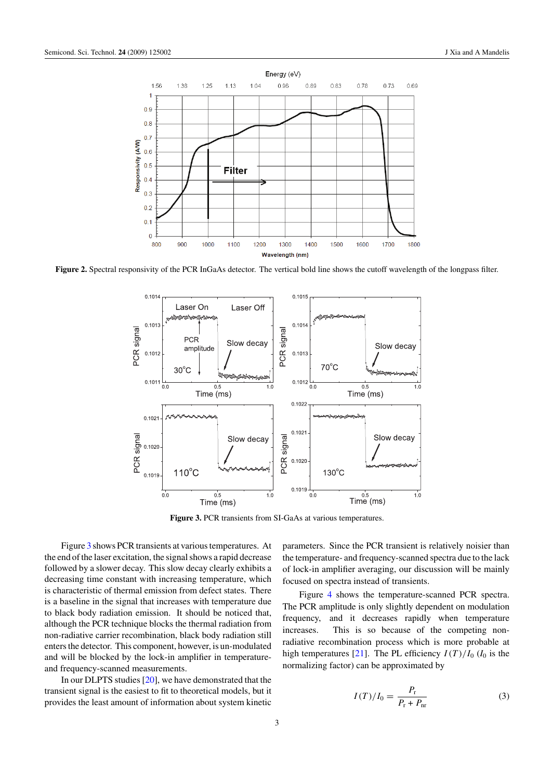<span id="page-3-0"></span>

**Figure 2.** Spectral responsivity of the PCR InGaAs detector. The vertical bold line shows the cutoff wavelength of the longpass filter.



**Figure 3.** PCR transients from SI-GaAs at various temperatures.

Figure 3 shows PCR transients at various temperatures. At the end of the laser excitation, the signal shows a rapid decrease followed by a slower decay. This slow decay clearly exhibits a decreasing time constant with increasing temperature, which is characteristic of thermal emission from defect states. There is a baseline in the signal that increases with temperature due to black body radiation emission. It should be noticed that, although the PCR technique blocks the thermal radiation from non-radiative carrier recombination, black body radiation still enters the detector. This component, however, is un-modulated and will be blocked by the lock-in amplifier in temperatureand frequency-scanned measurements.

In our DLPTS studies [\[20\]](#page-7-0), we have demonstrated that the transient signal is the easiest to fit to theoretical models, but it provides the least amount of information about system kinetic parameters. Since the PCR transient is relatively noisier than the temperature- and frequency-scanned spectra due to the lack of lock-in amplifier averaging, our discussion will be mainly focused on spectra instead of transients.

Figure [4](#page-4-0) shows the temperature-scanned PCR spectra. The PCR amplitude is only slightly dependent on modulation frequency, and it decreases rapidly when temperature increases. This is so because of the competing nonradiative recombination process which is more probable at high temperatures [\[21](#page-7-0)]. The PL efficiency  $I(T)/I_0$  ( $I_0$  is the normalizing factor) can be approximated by

$$
I(T)/I_0 = \frac{P_\text{r}}{P_\text{r} + P_\text{nr}}\tag{3}
$$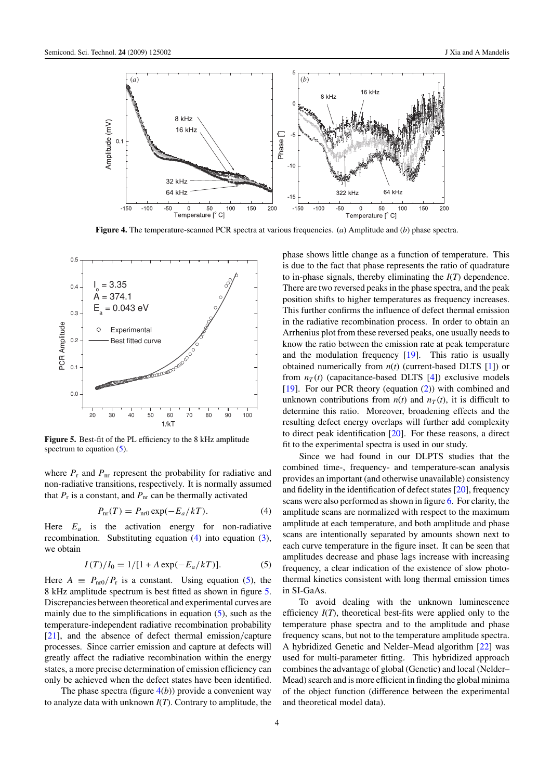<span id="page-4-0"></span>

**Figure 4.** The temperature-scanned PCR spectra at various frequencies. (*a*) Amplitude and (*b*) phase spectra.



**Figure 5.** Best-fit of the PL efficiency to the 8 kHz amplitude spectrum to equation  $(5)$ .

where  $P_r$  and  $P_{nr}$  represent the probability for radiative and non-radiative transitions, respectively. It is normally assumed that  $P_r$  is a constant, and  $P_{nr}$  can be thermally activated

$$
P_{\rm nr}(T) = P_{\rm nr0} \exp(-E_a/kT). \tag{4}
$$

Here  $E_a$  is the activation energy for non-radiative recombination. Substituting equation (4) into equation [\(3\)](#page-3-0), we obtain

$$
I(T)/I_0 = 1/[1 + A \exp(-E_a/kT)].
$$
 (5)

Here  $A \equiv P_{\text{nr0}}/P_r$  is a constant. Using equation (5), the 8 kHz amplitude spectrum is best fitted as shown in figure 5. Discrepancies between theoretical and experimental curves are mainly due to the simplifications in equation  $(5)$ , such as the temperature-independent radiative recombination probability [\[21](#page-7-0)], and the absence of defect thermal emission*/*capture processes. Since carrier emission and capture at defects will greatly affect the radiative recombination within the energy states, a more precise determination of emission efficiency can only be achieved when the defect states have been identified.

The phase spectra (figure  $4(b)$ ) provide a convenient way to analyze data with unknown *I*(*T*). Contrary to amplitude, the phase shows little change as a function of temperature. This is due to the fact that phase represents the ratio of quadrature to in-phase signals, thereby eliminating the *I*(*T*) dependence. There are two reversed peaks in the phase spectra, and the peak position shifts to higher temperatures as frequency increases. This further confirms the influence of defect thermal emission in the radiative recombination process. In order to obtain an Arrhenius plot from these reversed peaks, one usually needs to know the ratio between the emission rate at peak temperature and the modulation frequency [\[19\]](#page-7-0). This ratio is usually obtained numerically from *n*(*t*) (current-based DLTS [\[1\]](#page-7-0)) or from  $n<sub>T</sub>(t)$  (capacitance-based DLTS [\[4](#page-7-0)]) exclusive models [\[19](#page-7-0)]. For our PCR theory (equation [\(2\)](#page-2-0)) with combined and unknown contributions from  $n(t)$  and  $n<sub>T</sub>(t)$ , it is difficult to determine this ratio. Moreover, broadening effects and the resulting defect energy overlaps will further add complexity to direct peak identification [\[20\]](#page-7-0). For these reasons, a direct fit to the experimental spectra is used in our study.

Since we had found in our DLPTS studies that the combined time-, frequency- and temperature-scan analysis provides an important (and otherwise unavailable) consistency and fidelity in the identification of defect states [\[20\]](#page-7-0), frequency scans were also performed as shown in figure [6.](#page-5-0) For clarity, the amplitude scans are normalized with respect to the maximum amplitude at each temperature, and both amplitude and phase scans are intentionally separated by amounts shown next to each curve temperature in the figure inset. It can be seen that amplitudes decrease and phase lags increase with increasing frequency, a clear indication of the existence of slow photothermal kinetics consistent with long thermal emission times in SI-GaAs.

To avoid dealing with the unknown luminescence efficiency *I*(*T*), theoretical best-fits were applied only to the temperature phase spectra and to the amplitude and phase frequency scans, but not to the temperature amplitude spectra. A hybridized Genetic and Nelder–Mead algorithm [\[22](#page-7-0)] was used for multi-parameter fitting. This hybridized approach combines the advantage of global (Genetic) and local (Nelder– Mead) search and is more efficient in finding the global minima of the object function (difference between the experimental and theoretical model data).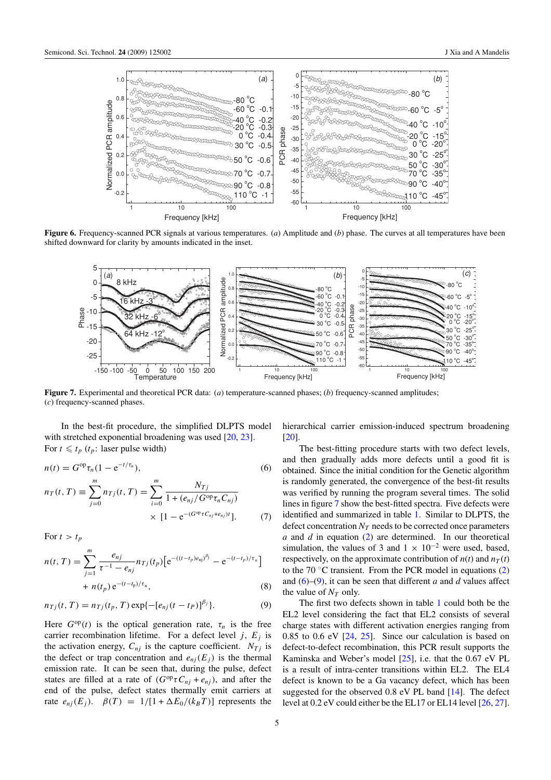<span id="page-5-0"></span>

**Figure 6.** Frequency-scanned PCR signals at various temperatures. (*a*) Amplitude and (*b*) phase. The curves at all temperatures have been shifted downward for clarity by amounts indicated in the inset.



**Figure 7.** Experimental and theoretical PCR data: (*a*) temperature-scanned phases; (*b*) frequency-scanned amplitudes; (*c*) frequency-scanned phases.

In the best-fit procedure, the simplified DLPTS model with stretched exponential broadening was used [\[20,](#page-7-0) [23\]](#page-7-0). For  $t \leq t_p$  ( $t_p$ : laser pulse width)

$$
n(t) = G^{\text{op}} \tau_n (1 - e^{-t/\tau_n}), \qquad (6)
$$

$$
n_T(t,T) \equiv \sum_{j=0}^{m} n_{Tj}(t,T) = \sum_{i=0}^{m} \frac{N_{Tj}}{1 + (e_{nj}/G^{\text{op}}\tau_n C_{nj})}
$$
  
 
$$
\times [1 - e^{-(G^{\text{op}}\tau C_{nj} + e_{nj})t}]. \tag{7}
$$

For  $t > t_p$ 

$$
n(t,T) = \sum_{j=1}^{m} \frac{e_{nj}}{\tau^{-1} - e_{nj}} n_{Tj}(t_p) \left[ e^{-(t-t_p)e_{nj}\theta_j} - e^{-(t-t_p)/\tau_n} \right] + n(t_p) e^{-(t-t_p)/\tau_n},
$$
\n(8)

$$
n_{Tj}(t, T) = n_{Tj}(t_p, T) \exp\{-[e_{nj}(t - t_p)]^{\beta_j}\}.
$$
 (9)

Here  $G^{op}(t)$  is the optical generation rate,  $\tau_n$  is the free carrier recombination lifetime. For a defect level  $j$ ,  $E_j$  is the activation energy,  $C_{ni}$  is the capture coefficient.  $N_{Ti}$  is the defect or trap concentration and  $e_{ni}(E_i)$  is the thermal emission rate. It can be seen that, during the pulse, defect states are filled at a rate of  $(G^{op}\tau C_{nj} + e_{nj})$ , and after the end of the pulse, defect states thermally emit carriers at rate  $e_{nj}(E_j)$ .  $\beta(T) = 1/[1 + \Delta E_0/(k_B T)]$  represents the hierarchical carrier emission-induced spectrum broadening [\[20](#page-7-0)].

The best-fitting procedure starts with two defect levels, and then gradually adds more defects until a good fit is obtained. Since the initial condition for the Genetic algorithm is randomly generated, the convergence of the best-fit results was verified by running the program several times. The solid lines in figure 7 show the best-fitted spectra. Five defects were identified and summarized in table 1. Similar to DLPTS, the defect concentration  $N_T$  needs to be corrected once parameters *a* and *d* in equation [\(2\)](#page-2-0) are determined. In our theoretical simulation, the values of 3 and  $1 \times 10^{-2}$  were used, based, respectively, on the approximate contribution of  $n(t)$  and  $n<sub>T</sub>(t)$ to the 70  $\degree$ C transient. From the PCR model in equations [\(2\)](#page-2-0) and (6)–(9), it can be seen that different *a* and *d* values affect the value of  $N_T$  only.

The first two defects shown in table 1 could both be the EL2 level considering the fact that EL2 consists of several charge states with different activation energies ranging from 0.85 to 0.6 eV [\[24,](#page-7-0) [25](#page-7-0)]. Since our calculation is based on defect-to-defect recombination, this PCR result supports the Kaminska and Weber's model [\[25](#page-7-0)], i.e. that the 0.67 eV PL is a result of intra-center transitions within EL2. The EL4 defect is known to be a Ga vacancy defect, which has been suggested for the observed 0.8 eV PL band [\[14](#page-7-0)]. The defect level at 0.2 eV could either be the EL17 or EL14 level [\[26,](#page-7-0) [27](#page-7-0)].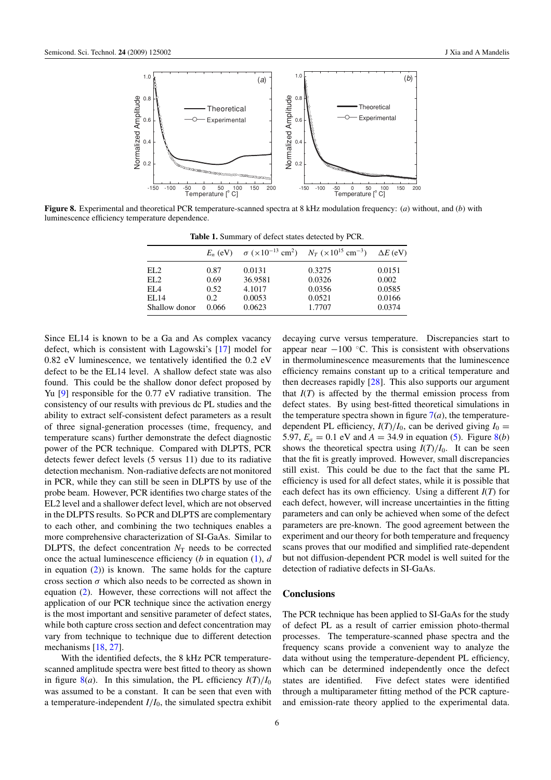

**Figure 8.** Experimental and theoretical PCR temperature-scanned spectra at 8 kHz modulation frequency: (*a*) without, and (*b*) with luminescence efficiency temperature dependence.

**Table 1.** Summary of defect states detected by PCR.

|                 | $E_n$ (eV) |         | $\sigma$ (×10 <sup>-13</sup> cm <sup>2</sup> ) $N_T$ (×10 <sup>15</sup> cm <sup>-3</sup> ) $\Delta E$ (eV) |        |
|-----------------|------------|---------|------------------------------------------------------------------------------------------------------------|--------|
| EL2             | 0.87       | 0.0131  | 0.3275                                                                                                     | 0.0151 |
| EL <sub>2</sub> | 0.69       | 36.9581 | 0.0326                                                                                                     | 0.002  |
| EL <sub>4</sub> | 0.52       | 4.1017  | 0.0356                                                                                                     | 0.0585 |
| EL14            | 0.2        | 0.0053  | 0.0521                                                                                                     | 0.0166 |
| Shallow donor   | 0.066      | 0.0623  | 1.7707                                                                                                     | 0.0374 |

Since EL14 is known to be a Ga and As complex vacancy defect, which is consistent with Lagowski's [\[17\]](#page-7-0) model for 0.82 eV luminescence, we tentatively identified the 0.2 eV defect to be the EL14 level. A shallow defect state was also found. This could be the shallow donor defect proposed by Yu [\[9\]](#page-7-0) responsible for the 0.77 eV radiative transition. The consistency of our results with previous dc PL studies and the ability to extract self-consistent defect parameters as a result of three signal-generation processes (time, frequency, and temperature scans) further demonstrate the defect diagnostic power of the PCR technique. Compared with DLPTS, PCR detects fewer defect levels (5 versus 11) due to its radiative detection mechanism. Non-radiative defects are not monitored in PCR, while they can still be seen in DLPTS by use of the probe beam. However, PCR identifies two charge states of the EL2 level and a shallower defect level, which are not observed in the DLPTS results. So PCR and DLPTS are complementary to each other, and combining the two techniques enables a more comprehensive characterization of SI-GaAs. Similar to DLPTS, the defect concentration  $N<sub>T</sub>$  needs to be corrected once the actual luminescence efficiency (*b* in equation [\(1\)](#page-2-0), *d* in equation  $(2)$ ) is known. The same holds for the capture cross section  $\sigma$  which also needs to be corrected as shown in equation [\(2\)](#page-2-0). However, these corrections will not affect the application of our PCR technique since the activation energy is the most important and sensitive parameter of defect states, while both capture cross section and defect concentration may vary from technique to technique due to different detection mechanisms [\[18](#page-7-0), [27](#page-7-0)].

With the identified defects, the 8 kHz PCR temperaturescanned amplitude spectra were best fitted to theory as shown in figure 8(*a*). In this simulation, the PL efficiency  $I(T)/I_0$ was assumed to be a constant. It can be seen that even with a temperature-independent  $I/I_0$ , the simulated spectra exhibit

decaying curve versus temperature. Discrepancies start to appear near  $-100$  °C. This is consistent with observations in thermoluminescence measurements that the luminescence efficiency remains constant up to a critical temperature and then decreases rapidly [\[28](#page-7-0)]. This also supports our argument that  $I(T)$  is affected by the thermal emission process from defect states. By using best-fitted theoretical simulations in the temperature spectra shown in figure  $7(a)$  $7(a)$ , the temperaturedependent PL efficiency,  $I(T)/I_0$ , can be derived giving  $I_0 =$ 5.97,  $E_a = 0.1$  eV and  $A = 34.9$  in equation [\(5\)](#page-4-0). Figure 8(*b*) shows the theoretical spectra using  $I(T)/I_0$ . It can be seen that the fit is greatly improved. However, small discrepancies still exist. This could be due to the fact that the same PL efficiency is used for all defect states, while it is possible that each defect has its own efficiency. Using a different *I*(*T*) for each defect, however, will increase uncertainties in the fitting parameters and can only be achieved when some of the defect parameters are pre-known. The good agreement between the experiment and our theory for both temperature and frequency scans proves that our modified and simplified rate-dependent but not diffusion-dependent PCR model is well suited for the detection of radiative defects in SI-GaAs.

## **Conclusions**

The PCR technique has been applied to SI-GaAs for the study of defect PL as a result of carrier emission photo-thermal processes. The temperature-scanned phase spectra and the frequency scans provide a convenient way to analyze the data without using the temperature-dependent PL efficiency, which can be determined independently once the defect states are identified. Five defect states were identified through a multiparameter fitting method of the PCR captureand emission-rate theory applied to the experimental data.